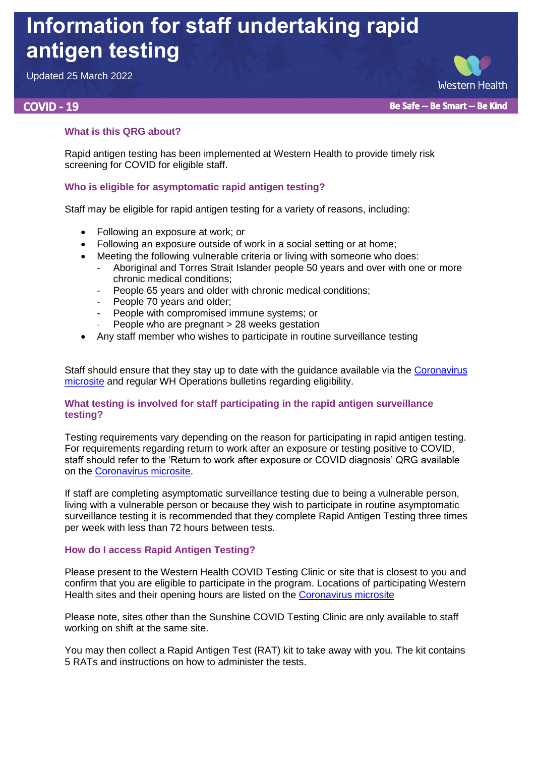# **Information for staff undertaking rapid antigen testing**

Updated 25 March 2022

## **COVID - 19**

**Western Health** Be Safe -- Be Smart -- Be Kind

## **What is this QRG about?**

Rapid antigen testing has been implemented at Western Health to provide timely risk screening for COVID for eligible staff.

## **Who is eligible for asymptomatic rapid antigen testing?**

Staff may be eligible for rapid antigen testing for a variety of reasons, including:

- Following an exposure at work: or
- Following an exposure outside of work in a social setting or at home:
- Meeting the following vulnerable criteria or living with someone who does:
	- Aboriginal and Torres Strait Islander people 50 years and over with one or more chronic medical conditions;
	- People 65 years and older with chronic medical conditions;
	- People 70 years and older;
	- People with compromised immune systems; or
	- People who are pregnant > 28 weeks gestation
- Any staff member who wishes to participate in routine surveillance testing

Staff should ensure that they stay up to date with the guidance available via the [Coronavirus](https://coronavirus.wh.org.au/)  [microsite](https://coronavirus.wh.org.au/) and regular WH Operations bulletins regarding eligibility.

### **What testing is involved for staff participating in the rapid antigen surveillance testing?**

Testing requirements vary depending on the reason for participating in rapid antigen testing. For requirements regarding return to work after an exposure or testing positive to COVID, staff should refer to the 'Return to work after exposure or COVID diagnosis' QRG available on the [Coronavirus microsite.](https://coronavirus.wh.org.au/)

If staff are completing asymptomatic surveillance testing due to being a vulnerable person, living with a vulnerable person or because they wish to participate in routine asymptomatic surveillance testing it is recommended that they complete Rapid Antigen Testing three times per week with less than 72 hours between tests.

#### **How do I access Rapid Antigen Testing?**

Please present to the Western Health COVID Testing Clinic or site that is closest to you and confirm that you are eligible to participate in the program. Locations of participating Western Health sites and their opening hours are listed on the [Coronavirus microsite](https://coronavirus.wh.org.au/)

Please note, sites other than the Sunshine COVID Testing Clinic are only available to staff working on shift at the same site.

You may then collect a Rapid Antigen Test (RAT) kit to take away with you. The kit contains 5 RATs and instructions on how to administer the tests.